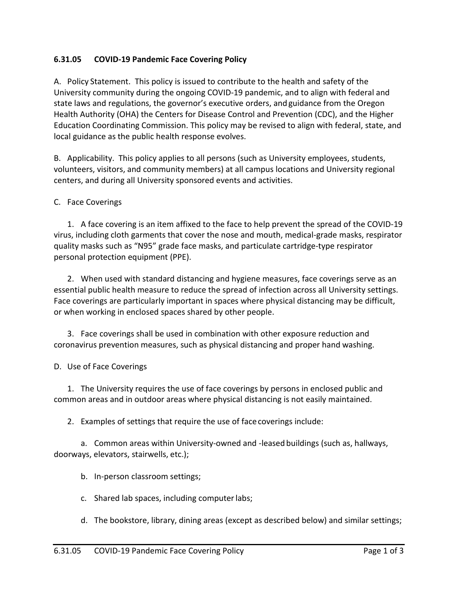## **6.31.05 COVID-19 Pandemic Face Covering Policy**

A. Policy Statement. This policy is issued to contribute to the health and safety of the University community during the ongoing COVID-19 pandemic, and to align with federal and state laws and regulations, the governor's executive orders, and guidance from the Oregon Health Authority (OHA) the Centers for Disease Control and Prevention (CDC), and the Higher Education Coordinating Commission. This policy may be revised to align with federal, state, and local guidance as the public health response evolves.

B. Applicability. This policy applies to all persons (such as University employees, students, volunteers, visitors, and community members) at all campus locations and University regional centers, and during all University sponsored events and activities.

## C. Face Coverings

1. A face covering is an item affixed to the face to help prevent the spread of the COVID-19 virus, including cloth garments that cover the nose and mouth, medical-grade masks, respirator quality masks such as "N95" grade face masks, and particulate cartridge-type respirator personal protection equipment (PPE).

2. When used with standard distancing and hygiene measures, face coverings serve as an essential public health measure to reduce the spread of infection across all University settings. Face coverings are particularly important in spaces where physical distancing may be difficult, or when working in enclosed spaces shared by other people.

3. Face coverings shall be used in combination with other exposure reduction and coronavirus prevention measures, such as physical distancing and proper hand washing.

## D. Use of Face Coverings

1. The University requires the use of face coverings by persons in enclosed public and common areas and in outdoor areas where physical distancing is not easily maintained.

2. Examples of settings that require the use of face coverings include:

a. Common areas within University-owned and -leased buildings (such as, hallways, doorways, elevators, stairwells, etc.);

b. In-person classroom settings;

- c. Shared lab spaces, including computerlabs;
- d. The bookstore, library, dining areas (except as described below) and similar settings;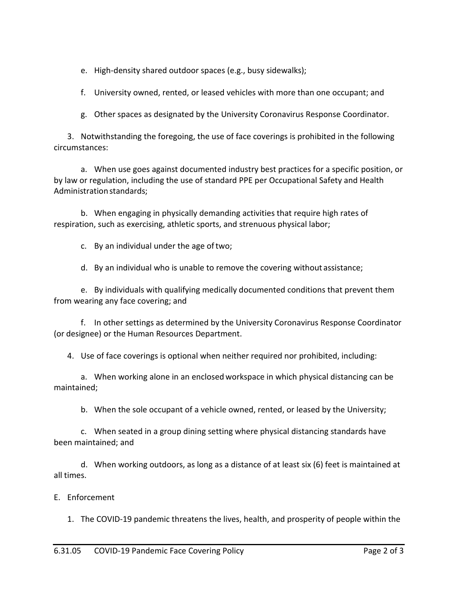e. High-density shared outdoor spaces (e.g., busy sidewalks);

f. University owned, rented, or leased vehicles with more than one occupant; and

g. Other spaces as designated by the University Coronavirus Response Coordinator.

3. Notwithstanding the foregoing, the use of face coverings is prohibited in the following circumstances:

a. When use goes against documented industry best practices for a specific position, or by law or regulation, including the use of standard PPE per Occupational Safety and Health Administration standards;

b. When engaging in physically demanding activities that require high rates of respiration, such as exercising, athletic sports, and strenuous physical labor;

c. By an individual under the age oftwo;

d. By an individual who is unable to remove the covering without assistance;

e. By individuals with qualifying medically documented conditions that prevent them from wearing any face covering; and

f. In other settings as determined by the University Coronavirus Response Coordinator (or designee) or the Human Resources Department.

4. Use of face coverings is optional when neither required nor prohibited, including:

a. When working alone in an enclosed workspace in which physical distancing can be maintained;

b. When the sole occupant of a vehicle owned, rented, or leased by the University;

c. When seated in a group dining setting where physical distancing standards have been maintained; and

d. When working outdoors, as long as a distance of at least six (6) feet is maintained at all times.

E. Enforcement

1. The COVID-19 pandemic threatens the lives, health, and prosperity of people within the